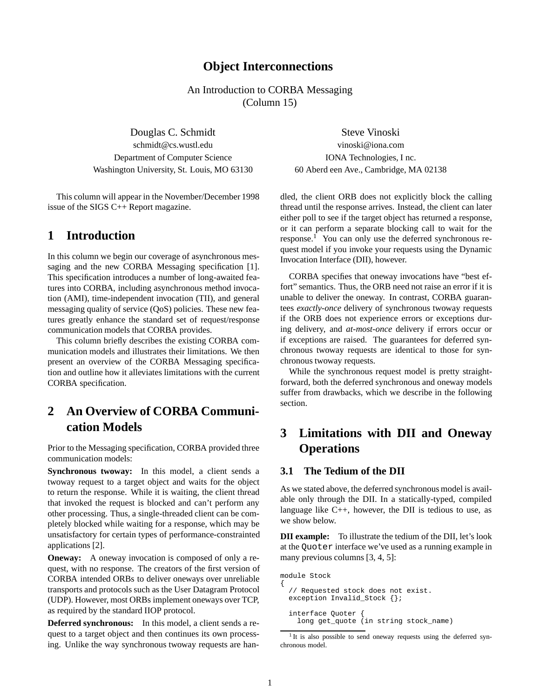### **Object Interconnections**

An Introduction to CORBA Messaging (Column 15)

Douglas C. Schmidt Steve Vinoski schmidt@cs.wustl.edu vinoski@iona.com Department of Computer Science IONA Technologies, I nc. Washington University, St. Louis, MO 63130 60 Aberd een Ave., Cambridge, MA 02138

This column will appear in the November/December 1998 issue of the SIGS C++ Report magazine.

### **1 Introduction**

In this column we begin our coverage of asynchronous messaging and the new CORBA Messaging specification [1]. This specification introduces a number of long-awaited features into CORBA, including asynchronous method invocation (AMI), time-independent invocation (TII), and general messaging quality of service (QoS) policies. These new features greatly enhance the standard set of request/response communication models that CORBA provides.

This column briefly describes the existing CORBA communication models and illustrates their limitations. We then present an overview of the CORBA Messaging specification and outline how it alleviates limitations with the current CORBA specification.

## **2 An Overview of CORBA Communication Models**

Prior to the Messaging specification, CORBA provided three communication models:

**Synchronous twoway:** In this model, a client sends a twoway request to a target object and waits for the object to return the response. While it is waiting, the client thread that invoked the request is blocked and can't perform any other processing. Thus, a single-threaded client can be completely blocked while waiting for a response, which may be unsatisfactory for certain types of performance-constrainted applications [2].

**Oneway:** A oneway invocation is composed of only a request, with no response. The creators of the first version of CORBA intended ORBs to deliver oneways over unreliable transports and protocols such as the User Datagram Protocol (UDP). However, most ORBs implement oneways over TCP, as required by the standard IIOP protocol.

**Deferred synchronous:** In this model, a client sends a request to a target object and then continues its own processing. Unlike the way synchronous twoway requests are han-

dled, the client ORB does not explicitly block the calling thread until the response arrives. Instead, the client can later either poll to see if the target object has returned a response, or it can perform a separate blocking call to wait for the response.<sup>1</sup> You can only use the deferred synchronous request model if you invoke your requests using the Dynamic Invocation Interface (DII), however.

CORBA specifies that oneway invocations have "best effort" semantics. Thus, the ORB need not raise an error if it is unable to deliver the oneway. In contrast, CORBA guarantees *exactly-once* delivery of synchronous twoway requests if the ORB does not experience errors or exceptions during delivery, and *at-most-once* delivery if errors occur or if exceptions are raised. The guarantees for deferred synchronous twoway requests are identical to those for synchronous twoway requests.

While the synchronous request model is pretty straightforward, both the deferred synchronous and oneway models suffer from drawbacks, which we describe in the following section.

# **3 Limitations with DII and Oneway Operations**

#### **3.1 The Tedium of the DII**

As we stated above, the deferred synchronous model is available only through the DII. In a statically-typed, compiled language like  $C_{++}$ , however, the DII is tedious to use, as we show below.

**DII example:** To illustrate the tedium of the DII, let's look at the Quoter interface we've used as a running example in many previous columns [3, 4, 5]:

module Stock { // Requested stock does not exist. exception Invalid\_Stock {}; interface Quoter { long get\_quote (in string stock\_name)

<sup>&</sup>lt;sup>1</sup>It is also possible to send oneway requests using the deferred synchronous model.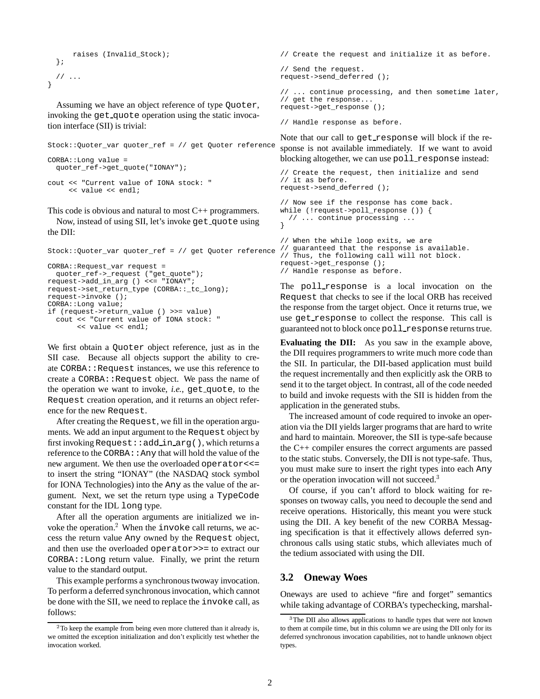```
raises (Invalid_Stock);
  };
  // ...
}
```
Assuming we have an object reference of type Quoter, invoking the get quote operation using the static invocation interface (SII) is trivial:

```
Stock::Quoter_var quoter_ref = // get Quoter reference
CORBA::Long value =
 quoter_ref->get_quote("IONAY");
cout << "Current value of IONA stock: "
     << value << endl;
```
This code is obvious and natural to most C++ programmers.

Now, instead of using SII, let's invoke get\_quote using the DII:

```
Stock::Quoter_var quoter_ref = // get Quoter reference
CORBA::Request_var request =
  quoter_ref->_request ("get_quote");
request->add_in_arg () <<= "IONAY";
request->set_return_type (CORBA::_tc_long);
request->invoke ();
CORBA::Long value;
if (request->return_value () >>= value)
 cout << "Current value of IONA stock: "
       << value << endl;
```
We first obtain a Quoter object reference, just as in the SII case. Because all objects support the ability to create CORBA::Request instances, we use this reference to create a CORBA:: Request object. We pass the name of the operation we want to invoke, *i.e.*, get quote, to the Request creation operation, and it returns an object reference for the new Request.

After creating the Request, we fill in the operation arguments. We add an input argument to the Request object by first invoking Request::add in arg(), which returns a reference to the CORBA:  $:\forall$  any that will hold the value of the new argument. We then use the overloaded operator <<= to insert the string "IONAY" (the NASDAQ stock symbol for IONA Technologies) into the Any as the value of the argument. Next, we set the return type using a TypeCode constant for the IDL long type.

After all the operation arguments are initialized we invoke the operation.<sup>2</sup> When the invoke call returns, we access the return value Any owned by the Request object, and then use the overloaded operator>>= to extract our CORBA::Long return value. Finally, we print the return value to the standard output.

This example performs a synchronous twoway invocation. To perform a deferred synchronous invocation, which cannot be done with the SII, we need to replace the invoke call, as follows:

```
// Send the request.
request->send_deferred ();
// ... continue processing, and then sometime later,
// get the response...
request->get_response ();
```
// Create the request and initialize it as before.

// Handle response as before.

Note that our call to get response will block if the response is not available immediately. If we want to avoid blocking altogether, we can use poll response instead:

```
// Create the request, then initialize and send
// it as before.
request->send_deferred ();
// Now see if the response has come back.
while (!request->poll_response ()) {
  // ... continue processing ...
}
// When the while loop exits, we are
// guaranteed that the response is available.
// Thus, the following call will not block.
request->get_response ();
```
// Handle response as before. The poll response is a local invocation on the Request that checks to see if the local ORB has received the response from the target object. Once it returns true, we use get response to collect the response. This call is

**Evaluating the DII:** As you saw in the example above, the DII requires programmers to write much more code than the SII. In particular, the DII-based application must build the request incrementally and then explicitly ask the ORB to send it to the target object. In contrast, all of the code needed to build and invoke requests with the SII is hidden from the application in the generated stubs.

guaranteed not to block once poll\_response returns true.

The increased amount of code required to invoke an operation via the DII yields larger programs that are hard to write and hard to maintain. Moreover, the SII is type-safe because the C++ compiler ensures the correct arguments are passed to the static stubs. Conversely, the DII is not type-safe. Thus, you must make sure to insert the right types into each Any or the operation invocation will not succeed.<sup>3</sup>

Of course, if you can't afford to block waiting for responses on twoway calls, you need to decouple the send and receive operations. Historically, this meant you were stuck using the DII. A key benefit of the new CORBA Messaging specification is that it effectively allows deferred synchronous calls using static stubs, which alleviates much of the tedium associated with using the DII.

#### **3.2 Oneway Woes**

Oneways are used to achieve "fire and forget" semantics while taking advantage of CORBA's typechecking, marshal-

<sup>&</sup>lt;sup>2</sup>To keep the example from being even more cluttered than it already is, we omitted the exception initialization and don't explicitly test whether the invocation worked.

<sup>&</sup>lt;sup>3</sup>The DII also allows applications to handle types that were not known to them at compile time, but in this column we are using the DII only for its deferred synchronous invocation capabilities, not to handle unknown object types.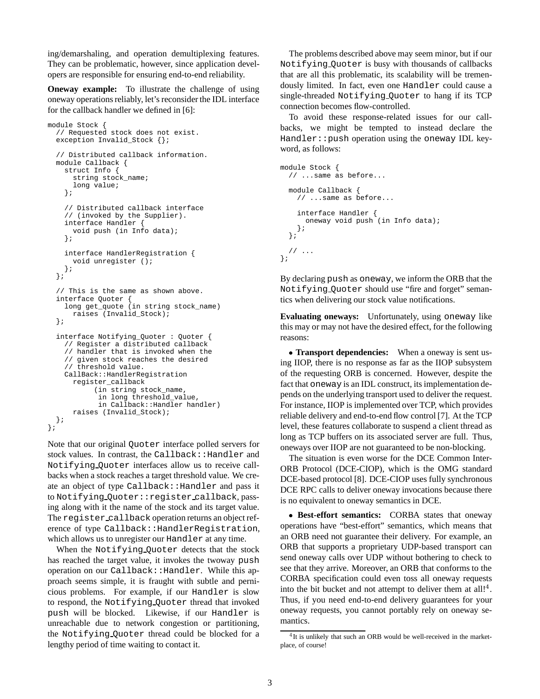ing/demarshaling, and operation demultiplexing features. They can be problematic, however, since application developers are responsible for ensuring end-to-end reliability.

**Oneway example:** To illustrate the challenge of using oneway operations reliably, let's reconsider the IDL interface for the callback handler we defined in [6]:

```
module Stock {
  // Requested stock does not exist.
  exception Invalid_Stock {};
  // Distributed callback information.
  module Callback {
    struct Info {
      string stock_name;
      long value;
    };
    // Distributed callback interface
    // (invoked by the Supplier).
    interface Handler {
     void push (in Info data);
    };
    interface HandlerRegistration {
      void unregister ();
    };
  };
  // This is the same as shown above.
  interface Ouoter
    long get_quote (in string stock_name)
      raises (Invalid_Stock);
  };
  interface Notifying_Quoter : Quoter {
    // Register a distributed callback
    // handler that is invoked when the
    // given stock reaches the desired
    // threshold value.
    CallBack::HandlerRegistration
      register_callback
           (in string stock_name,
            in long threshold_value,
            in Callback::Handler handler)
      raises (Invalid_Stock);
  };
};
```
Note that our original Quoter interface polled servers for stock values. In contrast, the Callback::Handler and Notifying Quoter interfaces allow us to receive callbacks when a stock reaches a target threshold value. We create an object of type Callback::Handler and pass it to Notifying Quoter::register callback, passing along with it the name of the stock and its target value. The register callback operation returns an object reference of type Callback::HandlerRegistration, which allows us to unregister our Handler at any time.

When the Notifying Quoter detects that the stock has reached the target value, it invokes the twoway push operation on our Callback::Handler. While this approach seems simple, it is fraught with subtle and pernicious problems. For example, if our Handler is slow to respond, the Notifying Quoter thread that invoked push will be blocked. Likewise, if our Handler is unreachable due to network congestion or partitioning, the Notifying Quoter thread could be blocked for a lengthy period of time waiting to contact it.

The problems described above may seem minor, but if our Notifying Quoter is busy with thousands of callbacks that are all this problematic, its scalability will be tremendously limited. In fact, even one Handler could cause a single-threaded Notifying Quoter to hang if its TCP connection becomes flow-controlled.

To avoid these response-related issues for our callbacks, we might be tempted to instead declare the  $Handler: :push operation using the one way IDL key$ word, as follows:

```
module Stock {
  // ...same as before...
  module Callback {
    // ...same as before...
    interface Handler {
      oneway void push (in Info data);
    };
  };
  // ...
\left| \cdot \right|
```
By declaring push as oneway, we inform the ORB that the Notifying Quoter should use "fire and forget" semantics when delivering our stock value notifications.

**Evaluating oneways:** Unfortunately, using oneway like this may or may not have the desired effect, for the following reasons:

 **Transport dependencies:** When a oneway is sent using IIOP, there is no response as far as the IIOP subsystem of the requesting ORB is concerned. However, despite the fact that oneway is an IDL construct, its implementation depends on the underlying transport used to deliver the request. For instance, IIOP is implemented over TCP, which provides reliable delivery and end-to-end flow control [7]. At the TCP level, these features collaborate to suspend a client thread as long as TCP buffers on its associated server are full. Thus, oneways over IIOP are not guaranteed to be non-blocking.

The situation is even worse for the DCE Common Inter-ORB Protocol (DCE-CIOP), which is the OMG standard DCE-based protocol [8]. DCE-CIOP uses fully synchronous DCE RPC calls to deliver oneway invocations because there is no equivalent to oneway semantics in DCE.

 **Best-effort semantics:** CORBA states that oneway operations have "best-effort" semantics, which means that an ORB need not guarantee their delivery. For example, an ORB that supports a proprietary UDP-based transport can send oneway calls over UDP without bothering to check to see that they arrive. Moreover, an ORB that conforms to the CORBA specification could even toss all oneway requests into the bit bucket and not attempt to deliver them at  $all!^4$ . Thus, if you need end-to-end delivery guarantees for your oneway requests, you cannot portably rely on oneway semantics.

<sup>&</sup>lt;sup>4</sup>It is unlikely that such an ORB would be well-received in the marketplace, of course!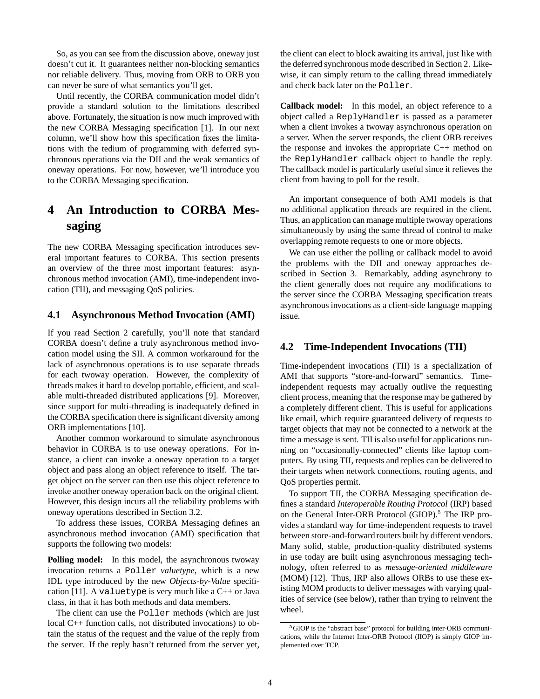So, as you can see from the discussion above, oneway just doesn't cut it. It guarantees neither non-blocking semantics nor reliable delivery. Thus, moving from ORB to ORB you can never be sure of what semantics you'll get.

Until recently, the CORBA communication model didn't provide a standard solution to the limitations described above. Fortunately, the situation is now much improved with the new CORBA Messaging specification [1]. In our next column, we'll show how this specification fixes the limitations with the tedium of programming with deferred synchronous operations via the DII and the weak semantics of oneway operations. For now, however, we'll introduce you to the CORBA Messaging specification.

# **4 An Introduction to CORBA Messaging**

The new CORBA Messaging specification introduces several important features to CORBA. This section presents an overview of the three most important features: asynchronous method invocation (AMI), time-independent invocation (TII), and messaging QoS policies.

#### **4.1 Asynchronous Method Invocation (AMI)**

If you read Section 2 carefully, you'll note that standard CORBA doesn't define a truly asynchronous method invocation model using the SII. A common workaround for the lack of asynchronous operations is to use separate threads for each twoway operation. However, the complexity of threads makes it hard to develop portable, efficient, and scalable multi-threaded distributed applications [9]. Moreover, since support for multi-threading is inadequately defined in the CORBA specification there is significant diversity among ORB implementations [10].

Another common workaround to simulate asynchronous behavior in CORBA is to use oneway operations. For instance, a client can invoke a oneway operation to a target object and pass along an object reference to itself. The target object on the server can then use this object reference to invoke another oneway operation back on the original client. However, this design incurs all the reliability problems with oneway operations described in Section 3.2.

To address these issues, CORBA Messaging defines an asynchronous method invocation (AMI) specification that supports the following two models:

Polling model: In this model, the asynchronous twoway invocation returns a Poller *valuetype*, which is a new IDL type introduced by the new *Objects-by-Value* specification [11]. A valuetype is very much like a  $C_{++}$  or Java class, in that it has both methods and data members.

The client can use the Poller methods (which are just local C++ function calls, not distributed invocations) to obtain the status of the request and the value of the reply from the server. If the reply hasn't returned from the server yet, the client can elect to block awaiting its arrival, just like with the deferred synchronous mode described in Section 2. Likewise, it can simply return to the calling thread immediately and check back later on the Poller.

**Callback model:** In this model, an object reference to a object called a ReplyHandler is passed as a parameter when a client invokes a twoway asynchronous operation on a server. When the server responds, the client ORB receives the response and invokes the appropriate C++ method on the ReplyHandler callback object to handle the reply. The callback model is particularly useful since it relieves the client from having to poll for the result.

An important consequence of both AMI models is that no additional application threads are required in the client. Thus, an application can manage multiple twoway operations simultaneously by using the same thread of control to make overlapping remote requests to one or more objects.

We can use either the polling or callback model to avoid the problems with the DII and oneway approaches described in Section 3. Remarkably, adding asynchrony to the client generally does not require any modifications to the server since the CORBA Messaging specification treats asynchronous invocations as a client-side language mapping issue.

#### **4.2 Time-Independent Invocations (TII)**

Time-independent invocations (TII) is a specialization of AMI that supports "store-and-forward" semantics. Timeindependent requests may actually outlive the requesting client process, meaning that the response may be gathered by a completely different client. This is useful for applications like email, which require guaranteed delivery of requests to target objects that may not be connected to a network at the time a message is sent. TII is also useful for applications running on "occasionally-connected" clients like laptop computers. By using TII, requests and replies can be delivered to their targets when network connections, routing agents, and QoS properties permit.

To support TII, the CORBA Messaging specification defines a standard *Interoperable Routing Protocol* (IRP) based on the General Inter-ORB Protocol (GIOP).<sup>5</sup> The IRP provides a standard way for time-independent requests to travel between store-and-forward routers built by different vendors. Many solid, stable, production-quality distributed systems in use today are built using asynchronous messaging technology, often referred to as *message-oriented middleware* (MOM) [12]. Thus, IRP also allows ORBs to use these existing MOM products to deliver messages with varying qualities of service (see below), rather than trying to reinvent the wheel.

<sup>&</sup>lt;sup>5</sup>GIOP is the "abstract base" protocol for building inter-ORB communications, while the Internet Inter-ORB Protocol (IIOP) is simply GIOP implemented over TCP.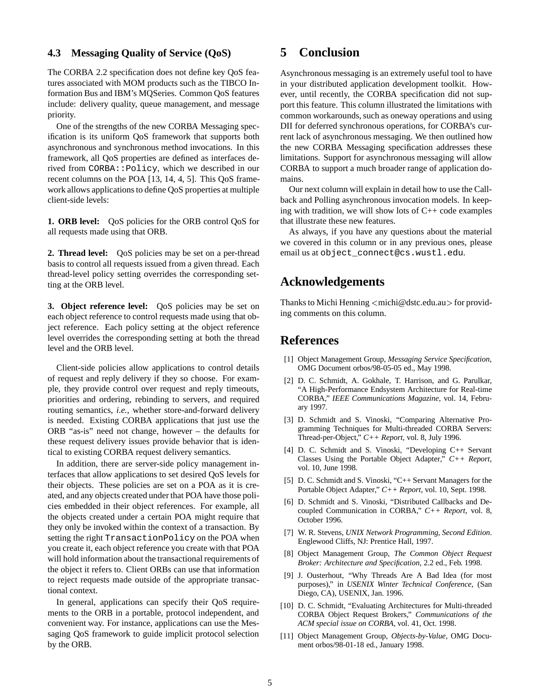#### **4.3 Messaging Quality of Service (QoS)**

The CORBA 2.2 specification does not define key QoS features associated with MOM products such as the TIBCO Information Bus and IBM's MQSeries. Common QoS features include: delivery quality, queue management, and message priority.

One of the strengths of the new CORBA Messaging specification is its uniform QoS framework that supports both asynchronous and synchronous method invocations. In this framework, all QoS properties are defined as interfaces derived from CORBA::Policy, which we described in our recent columns on the POA [13, 14, 4, 5]. This QoS framework allows applications to define QoS properties at multiple client-side levels:

**1. ORB level:** QoS policies for the ORB control QoS for all requests made using that ORB.

**2. Thread level:** QoS policies may be set on a per-thread basis to control all requests issued from a given thread. Each thread-level policy setting overrides the corresponding setting at the ORB level.

**3. Object reference level:** QoS policies may be set on each object reference to control requests made using that object reference. Each policy setting at the object reference level overrides the corresponding setting at both the thread level and the ORB level.

Client-side policies allow applications to control details of request and reply delivery if they so choose. For example, they provide control over request and reply timeouts, priorities and ordering, rebinding to servers, and required routing semantics, *i.e.*, whether store-and-forward delivery is needed. Existing CORBA applications that just use the ORB "as-is" need not change, however – the defaults for these request delivery issues provide behavior that is identical to existing CORBA request delivery semantics.

In addition, there are server-side policy management interfaces that allow applications to set desired QoS levels for their objects. These policies are set on a POA as it is created, and any objects created under that POA have those policies embedded in their object references. For example, all the objects created under a certain POA might require that they only be invoked within the context of a transaction. By setting the right TransactionPolicy on the POA when you create it, each object reference you create with that POA will hold information about the transactional requirements of the object it refers to. Client ORBs can use that information to reject requests made outside of the appropriate transactional context.

In general, applications can specify their QoS requirements to the ORB in a portable, protocol independent, and convenient way. For instance, applications can use the Messaging QoS framework to guide implicit protocol selection by the ORB.

## **5 Conclusion**

Asynchronous messaging is an extremely useful tool to have in your distributed application development toolkit. However, until recently, the CORBA specification did not support this feature. This column illustrated the limitations with common workarounds, such as oneway operations and using DII for deferred synchronous operations, for CORBA's current lack of asynchronous messaging. We then outlined how the new CORBA Messaging specification addresses these limitations. Support for asynchronous messaging will allow CORBA to support a much broader range of application domains.

Our next column will explain in detail how to use the Callback and Polling asynchronous invocation models. In keeping with tradition, we will show lots of C++ code examples that illustrate these new features.

As always, if you have any questions about the material we covered in this column or in any previous ones, please email us at object\_connect@cs.wustl.edu.

### **Acknowledgements**

Thanks to Michi Henning  $\langle$  michi@dstc.edu.au $>$  for providing comments on this column.

## **References**

- [1] Object Management Group, *Messaging Service Specification*, OMG Document orbos/98-05-05 ed., May 1998.
- [2] D. C. Schmidt, A. Gokhale, T. Harrison, and G. Parulkar, "A High-Performance Endsystem Architecture for Real-time CORBA," *IEEE Communications Magazine*, vol. 14, February 1997.
- [3] D. Schmidt and S. Vinoski, "Comparing Alternative Programming Techniques for Multi-threaded CORBA Servers: Thread-per-Object," *C++ Report*, vol. 8, July 1996.
- [4] D. C. Schmidt and S. Vinoski, "Developing C++ Servant Classes Using the Portable Object Adapter," *C++ Report*, vol. 10, June 1998.
- [5] D. C. Schmidt and S. Vinoski, "C++ Servant Managers for the Portable Object Adapter," *C++ Report*, vol. 10, Sept. 1998.
- [6] D. Schmidt and S. Vinoski, "Distributed Callbacks and Decoupled Communication in CORBA," *C++ Report*, vol. 8, October 1996.
- [7] W. R. Stevens, *UNIX Network Programming, Second Edition*. Englewood Cliffs, NJ: Prentice Hall, 1997.
- [8] Object Management Group, *The Common Object Request Broker: Architecture and Specification*, 2.2 ed., Feb. 1998.
- [9] J. Ousterhout, "Why Threads Are A Bad Idea (for most purposes)," in *USENIX Winter Technical Conference*, (San Diego, CA), USENIX, Jan. 1996.
- [10] D. C. Schmidt, "Evaluating Architectures for Multi-threaded CORBA Object Request Brokers," *Communications of the ACM special issue on CORBA*, vol. 41, Oct. 1998.
- [11] Object Management Group, *Objects-by-Value*, OMG Document orbos/98-01-18 ed., January 1998.